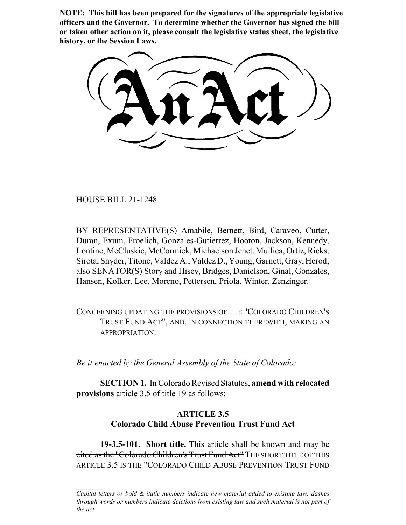**NOTE: This bill has been prepared for the signatures of the appropriate legislative officers and the Governor. To determine whether the Governor has signed the bill or taken other action on it, please consult the legislative status sheet, the legislative history, or the Session Laws.**

HOUSE BILL 21-1248

BY REPRESENTATIVE(S) Amabile, Bernett, Bird, Caraveo, Cutter, Duran, Exum, Froelich, Gonzales-Gutierrez, Hooton, Jackson, Kennedy, Lontine, McCluskie, McCormick, Michaelson Jenet, Mullica, Ortiz, Ricks, Sirota, Snyder, Titone, Valdez A., Valdez D., Young, Garnett, Gray, Herod; also SENATOR(S) Story and Hisey, Bridges, Danielson, Ginal, Gonzales, Hansen, Kolker, Lee, Moreno, Pettersen, Priola, Winter, Zenzinger.

CONCERNING UPDATING THE PROVISIONS OF THE "COLORADO CHILDREN'S TRUST FUND ACT", AND, IN CONNECTION THEREWITH, MAKING AN APPROPRIATION.

*Be it enacted by the General Assembly of the State of Colorado:*

**SECTION 1.** In Colorado Revised Statutes, **amend with relocated provisions** article 3.5 of title 19 as follows:

# **ARTICLE 3.5 Colorado Child Abuse Prevention Trust Fund Act**

**19-3.5-101. Short title.** This article shall be known and may be cited as the "Colorado Children's Trust Fund Act" THE SHORT TITLE OF THIS ARTICLE 3.5 IS THE "COLORADO CHILD ABUSE PREVENTION TRUST FUND

*Capital letters or bold & italic numbers indicate new material added to existing law; dashes through words or numbers indicate deletions from existing law and such material is not part of the act.*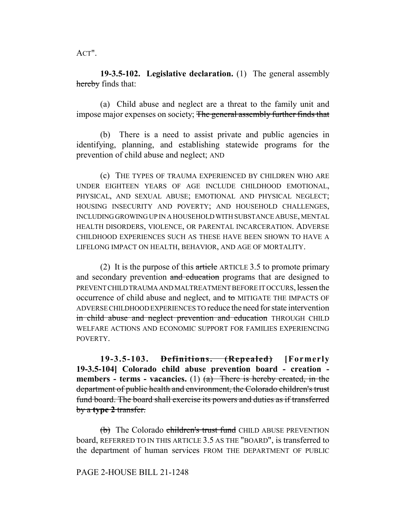ACT".

**19-3.5-102. Legislative declaration.** (1) The general assembly hereby finds that:

(a) Child abuse and neglect are a threat to the family unit and impose major expenses on society; The general assembly further finds that

(b) There is a need to assist private and public agencies in identifying, planning, and establishing statewide programs for the prevention of child abuse and neglect; AND

(c) THE TYPES OF TRAUMA EXPERIENCED BY CHILDREN WHO ARE UNDER EIGHTEEN YEARS OF AGE INCLUDE CHILDHOOD EMOTIONAL, PHYSICAL, AND SEXUAL ABUSE; EMOTIONAL AND PHYSICAL NEGLECT; HOUSING INSECURITY AND POVERTY; AND HOUSEHOLD CHALLENGES, INCLUDING GROWING UP IN A HOUSEHOLD WITH SUBSTANCE ABUSE, MENTAL HEALTH DISORDERS, VIOLENCE, OR PARENTAL INCARCERATION. ADVERSE CHILDHOOD EXPERIENCES SUCH AS THESE HAVE BEEN SHOWN TO HAVE A LIFELONG IMPACT ON HEALTH, BEHAVIOR, AND AGE OF MORTALITY.

(2) It is the purpose of this article ARTICLE 3.5 to promote primary and secondary prevention and education programs that are designed to PREVENT CHILD TRAUMA AND MALTREATMENT BEFORE IT OCCURS, lessen the occurrence of child abuse and neglect, and to MITIGATE THE IMPACTS OF ADVERSE CHILDHOOD EXPERIENCES TO reduce the need for state intervention in child abuse and neglect prevention and education THROUGH CHILD WELFARE ACTIONS AND ECONOMIC SUPPORT FOR FAMILIES EXPERIENCING POVERTY.

**19-3.5-103. Definitions. (Repealed) [Formerly 19-3.5-104] Colorado child abuse prevention board - creation members - terms - vacancies.** (1)  $(a)$  There is hereby created, in the department of public health and environment, the Colorado children's trust fund board. The board shall exercise its powers and duties as if transferred by a **type 2** transfer.

(b) The Colorado children's trust fund CHILD ABUSE PREVENTION board, REFERRED TO IN THIS ARTICLE 3.5 AS THE "BOARD", is transferred to the department of human services FROM THE DEPARTMENT OF PUBLIC

### PAGE 2-HOUSE BILL 21-1248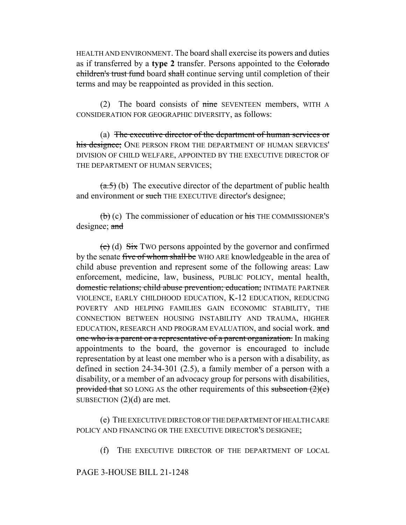HEALTH AND ENVIRONMENT. The board shall exercise its powers and duties as if transferred by a **type 2** transfer. Persons appointed to the Colorado children's trust fund board shall continue serving until completion of their terms and may be reappointed as provided in this section.

(2) The board consists of  $\overline{\text{time}}$  SEVENTEEN members, WITH A CONSIDERATION FOR GEOGRAPHIC DIVERSITY, as follows:

(a) The executive director of the department of human services or his designee; ONE PERSON FROM THE DEPARTMENT OF HUMAN SERVICES' DIVISION OF CHILD WELFARE, APPOINTED BY THE EXECUTIVE DIRECTOR OF THE DEPARTMENT OF HUMAN SERVICES;

 $(a.5)$  (b) The executive director of the department of public health and environment or such THE EXECUTIVE director's designee;

 $\overline{b}$  (c) The commissioner of education or his THE COMMISSIONER's designee; and

 $\left( \frac{\partial}{\partial t} \right)$  (d)  $\frac{\partial}{\partial x}$  Two persons appointed by the governor and confirmed by the senate five of whom shall be WHO ARE knowledgeable in the area of child abuse prevention and represent some of the following areas: Law enforcement, medicine, law, business, PUBLIC POLICY, mental health, domestic relations; child abuse prevention; education; INTIMATE PARTNER VIOLENCE, EARLY CHILDHOOD EDUCATION, K-12 EDUCATION, REDUCING POVERTY AND HELPING FAMILIES GAIN ECONOMIC STABILITY, THE CONNECTION BETWEEN HOUSING INSTABILITY AND TRAUMA, HIGHER EDUCATION, RESEARCH AND PROGRAM EVALUATION, and social work. and one who is a parent or a representative of a parent organization. In making appointments to the board, the governor is encouraged to include representation by at least one member who is a person with a disability, as defined in section 24-34-301 (2.5), a family member of a person with a disability, or a member of an advocacy group for persons with disabilities, provided that SO LONG AS the other requirements of this subsection  $(2)(c)$ SUBSECTION  $(2)(d)$  are met.

(e) THE EXECUTIVE DIRECTOR OF THE DEPARTMENT OF HEALTH CARE POLICY AND FINANCING OR THE EXECUTIVE DIRECTOR'S DESIGNEE;

(f) THE EXECUTIVE DIRECTOR OF THE DEPARTMENT OF LOCAL

PAGE 3-HOUSE BILL 21-1248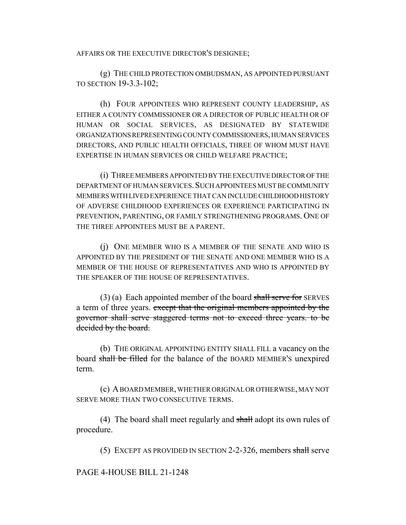AFFAIRS OR THE EXECUTIVE DIRECTOR'S DESIGNEE;

(g) THE CHILD PROTECTION OMBUDSMAN, AS APPOINTED PURSUANT TO SECTION 19-3.3-102;

(h) FOUR APPOINTEES WHO REPRESENT COUNTY LEADERSHIP, AS EITHER A COUNTY COMMISSIONER OR A DIRECTOR OF PUBLIC HEALTH OR OF HUMAN OR SOCIAL SERVICES, AS DESIGNATED BY STATEWIDE ORGANIZATIONS REPRESENTING COUNTY COMMISSIONERS, HUMAN SERVICES DIRECTORS, AND PUBLIC HEALTH OFFICIALS, THREE OF WHOM MUST HAVE EXPERTISE IN HUMAN SERVICES OR CHILD WELFARE PRACTICE;

(i) THREE MEMBERS APPOINTED BY THE EXECUTIVE DIRECTOR OF THE DEPARTMENT OF HUMAN SERVICES.SUCH APPOINTEES MUST BE COMMUNITY MEMBERS WITH LIVED EXPERIENCE THAT CAN INCLUDE CHILDHOOD HISTORY OF ADVERSE CHILDHOOD EXPERIENCES OR EXPERIENCE PARTICIPATING IN PREVENTION, PARENTING, OR FAMILY STRENGTHENING PROGRAMS. ONE OF THE THREE APPOINTEES MUST BE A PARENT.

(j) ONE MEMBER WHO IS A MEMBER OF THE SENATE AND WHO IS APPOINTED BY THE PRESIDENT OF THE SENATE AND ONE MEMBER WHO IS A MEMBER OF THE HOUSE OF REPRESENTATIVES AND WHO IS APPOINTED BY THE SPEAKER OF THE HOUSE OF REPRESENTATIVES.

 $(3)$  (a) Each appointed member of the board shall serve for SERVES a term of three years. except that the original members appointed by the governor shall serve staggered terms not to exceed three years. to be decided by the board.

(b) THE ORIGINAL APPOINTING ENTITY SHALL FILL a vacancy on the board shall be filled for the balance of the BOARD MEMBER'S unexpired term.

(c) A BOARD MEMBER, WHETHER ORIGINAL OR OTHERWISE, MAY NOT SERVE MORE THAN TWO CONSECUTIVE TERMS.

(4) The board shall meet regularly and shall adopt its own rules of procedure.

(5) EXCEPT AS PROVIDED IN SECTION 2-2-326, members shall serve

PAGE 4-HOUSE BILL 21-1248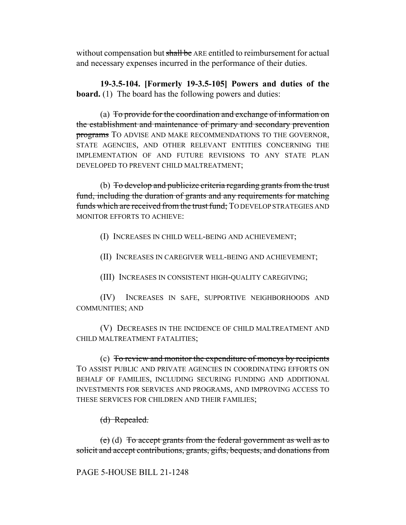without compensation but shall be ARE entitled to reimbursement for actual and necessary expenses incurred in the performance of their duties.

**19-3.5-104. [Formerly 19-3.5-105] Powers and duties of the board.** (1) The board has the following powers and duties:

(a) To provide for the coordination and exchange of information on the establishment and maintenance of primary and secondary prevention programs TO ADVISE AND MAKE RECOMMENDATIONS TO THE GOVERNOR, STATE AGENCIES, AND OTHER RELEVANT ENTITIES CONCERNING THE IMPLEMENTATION OF AND FUTURE REVISIONS TO ANY STATE PLAN DEVELOPED TO PREVENT CHILD MALTREATMENT;

(b) To develop and publicize criteria regarding grants from the trust fund, including the duration of grants and any requirements for matching funds which are received from the trust fund; TO DEVELOP STRATEGIES AND MONITOR EFFORTS TO ACHIEVE:

(I) INCREASES IN CHILD WELL-BEING AND ACHIEVEMENT;

(II) INCREASES IN CAREGIVER WELL-BEING AND ACHIEVEMENT;

(III) INCREASES IN CONSISTENT HIGH-QUALITY CAREGIVING;

(IV) INCREASES IN SAFE, SUPPORTIVE NEIGHBORHOODS AND COMMUNITIES; AND

(V) DECREASES IN THE INCIDENCE OF CHILD MALTREATMENT AND CHILD MALTREATMENT FATALITIES;

(c) To review and monitor the expenditure of moneys by recipients TO ASSIST PUBLIC AND PRIVATE AGENCIES IN COORDINATING EFFORTS ON BEHALF OF FAMILIES, INCLUDING SECURING FUNDING AND ADDITIONAL INVESTMENTS FOR SERVICES AND PROGRAMS, AND IMPROVING ACCESS TO THESE SERVICES FOR CHILDREN AND THEIR FAMILIES;

# (d) Repealed.

(e) (d) To accept grants from the federal government as well as to solicit and accept contributions, grants, gifts, bequests, and donations from

# PAGE 5-HOUSE BILL 21-1248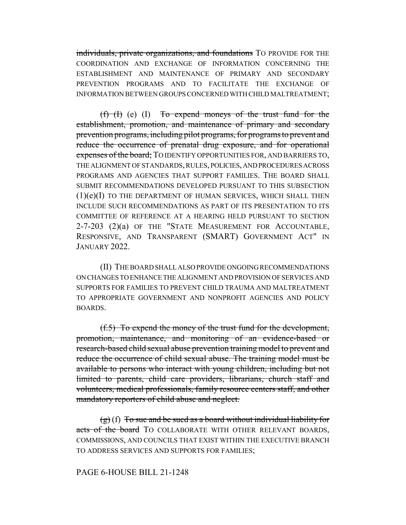individuals, private organizations, and foundations TO PROVIDE FOR THE COORDINATION AND EXCHANGE OF INFORMATION CONCERNING THE ESTABLISHMENT AND MAINTENANCE OF PRIMARY AND SECONDARY PREVENTION PROGRAMS AND TO FACILITATE THE EXCHANGE OF INFORMATION BETWEEN GROUPS CONCERNED WITH CHILD MALTREATMENT;

 $(f)$  (f) (e) (I) To expend moneys of the trust fund for the establishment, promotion, and maintenance of primary and secondary prevention programs, including pilot programs, for programs to prevent and reduce the occurrence of prenatal drug exposure, and for operational expenses of the board; TO IDENTIFY OPPORTUNITIES FOR, AND BARRIERS TO, THE ALIGNMENT OF STANDARDS, RULES, POLICIES, AND PROCEDURES ACROSS PROGRAMS AND AGENCIES THAT SUPPORT FAMILIES. THE BOARD SHALL SUBMIT RECOMMENDATIONS DEVELOPED PURSUANT TO THIS SUBSECTION  $(1)(e)(I)$  TO THE DEPARTMENT OF HUMAN SERVICES, WHICH SHALL THEN INCLUDE SUCH RECOMMENDATIONS AS PART OF ITS PRESENTATION TO ITS COMMITTEE OF REFERENCE AT A HEARING HELD PURSUANT TO SECTION 2-7-203 (2)(a) OF THE "STATE MEASUREMENT FOR ACCOUNTABLE, RESPONSIVE, AND TRANSPARENT (SMART) GOVERNMENT ACT" IN JANUARY 2022.

(II) THE BOARD SHALL ALSO PROVIDE ONGOING RECOMMENDATIONS ON CHANGES TO ENHANCE THE ALIGNMENT AND PROVISION OF SERVICES AND SUPPORTS FOR FAMILIES TO PREVENT CHILD TRAUMA AND MALTREATMENT TO APPROPRIATE GOVERNMENT AND NONPROFIT AGENCIES AND POLICY BOARDS.

(f.5) To expend the money of the trust fund for the development, promotion, maintenance, and monitoring of an evidence-based or research-based child sexual abuse prevention training model to prevent and reduce the occurrence of child sexual abuse. The training model must be available to persons who interact with young children, including but not limited to parents, child care providers, librarians, church staff and volunteers, medical professionals, family resource centers staff, and other mandatory reporters of child abuse and neglect.

 $(g)$  (f) To sue and be sued as a board without individual liability for acts of the board TO COLLABORATE WITH OTHER RELEVANT BOARDS, COMMISSIONS, AND COUNCILS THAT EXIST WITHIN THE EXECUTIVE BRANCH TO ADDRESS SERVICES AND SUPPORTS FOR FAMILIES;

### PAGE 6-HOUSE BILL 21-1248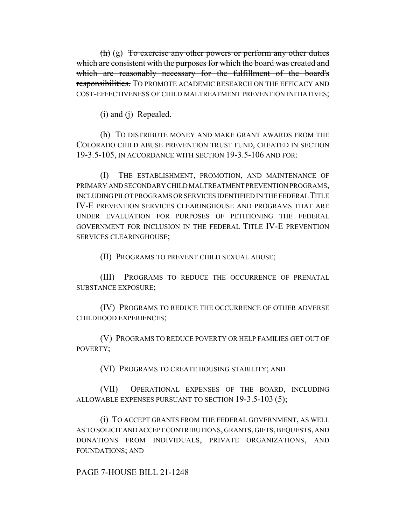$(h)$  (g) To exercise any other powers or perform any other duties which are consistent with the purposes for which the board was created and which are reasonably necessary for the fulfillment of the board's responsibilities. TO PROMOTE ACADEMIC RESEARCH ON THE EFFICACY AND COST-EFFECTIVENESS OF CHILD MALTREATMENT PREVENTION INITIATIVES;

### $(i)$  and  $(i)$  Repealed.

(h) TO DISTRIBUTE MONEY AND MAKE GRANT AWARDS FROM THE COLORADO CHILD ABUSE PREVENTION TRUST FUND, CREATED IN SECTION 19-3.5-105, IN ACCORDANCE WITH SECTION 19-3.5-106 AND FOR:

(I) THE ESTABLISHMENT, PROMOTION, AND MAINTENANCE OF PRIMARY AND SECONDARY CHILD MALTREATMENT PREVENTION PROGRAMS, INCLUDING PILOT PROGRAMS OR SERVICES IDENTIFIED IN THE FEDERAL TITLE IV-E PREVENTION SERVICES CLEARINGHOUSE AND PROGRAMS THAT ARE UNDER EVALUATION FOR PURPOSES OF PETITIONING THE FEDERAL GOVERNMENT FOR INCLUSION IN THE FEDERAL TITLE IV-E PREVENTION SERVICES CLEARINGHOUSE;

(II) PROGRAMS TO PREVENT CHILD SEXUAL ABUSE;

(III) PROGRAMS TO REDUCE THE OCCURRENCE OF PRENATAL SUBSTANCE EXPOSURE;

(IV) PROGRAMS TO REDUCE THE OCCURRENCE OF OTHER ADVERSE CHILDHOOD EXPERIENCES;

(V) PROGRAMS TO REDUCE POVERTY OR HELP FAMILIES GET OUT OF POVERTY;

(VI) PROGRAMS TO CREATE HOUSING STABILITY; AND

(VII) OPERATIONAL EXPENSES OF THE BOARD, INCLUDING ALLOWABLE EXPENSES PURSUANT TO SECTION 19-3.5-103 (5);

(i) TO ACCEPT GRANTS FROM THE FEDERAL GOVERNMENT, AS WELL AS TO SOLICIT AND ACCEPT CONTRIBUTIONS, GRANTS, GIFTS, BEQUESTS, AND DONATIONS FROM INDIVIDUALS, PRIVATE ORGANIZATIONS, AND FOUNDATIONS; AND

PAGE 7-HOUSE BILL 21-1248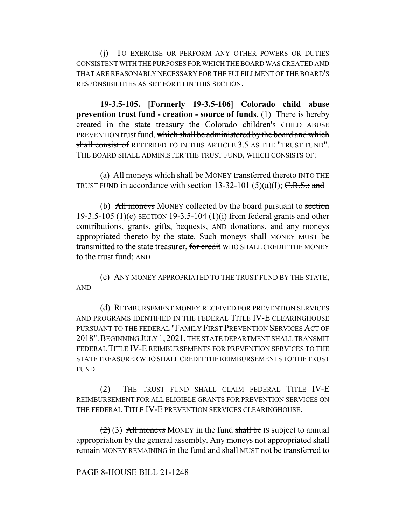(j) TO EXERCISE OR PERFORM ANY OTHER POWERS OR DUTIES CONSISTENT WITH THE PURPOSES FOR WHICH THE BOARD WAS CREATED AND THAT ARE REASONABLY NECESSARY FOR THE FULFILLMENT OF THE BOARD'S RESPONSIBILITIES AS SET FORTH IN THIS SECTION.

**19-3.5-105. [Formerly 19-3.5-106] Colorado child abuse prevention trust fund - creation - source of funds.** (1) There is hereby created in the state treasury the Colorado children's CHILD ABUSE PREVENTION trust fund, which shall be administered by the board and which shall consist of REFERRED TO IN THIS ARTICLE 3.5 AS THE "TRUST FUND". THE BOARD SHALL ADMINISTER THE TRUST FUND, WHICH CONSISTS OF:

(a) All moneys which shall be MONEY transferred thereto INTO THE TRUST FUND in accordance with section 13-32-101 (5)(a)(I);  $C.R.S.;$  and

(b) All moneys MONEY collected by the board pursuant to section  $19-3.5-105$  (1)(e) SECTION 19-3.5-104 (1)(i) from federal grants and other contributions, grants, gifts, bequests, AND donations. and any moneys appropriated thereto by the state. Such moneys shall MONEY MUST be transmitted to the state treasurer, for credit WHO SHALL CREDIT THE MONEY to the trust fund; AND

(c) ANY MONEY APPROPRIATED TO THE TRUST FUND BY THE STATE; AND

(d) REIMBURSEMENT MONEY RECEIVED FOR PREVENTION SERVICES AND PROGRAMS IDENTIFIED IN THE FEDERAL TITLE IV-E CLEARINGHOUSE PURSUANT TO THE FEDERAL "FAMILY FIRST PREVENTION SERVICES ACT OF 2018".BEGINNING JULY 1, 2021, THE STATE DEPARTMENT SHALL TRANSMIT FEDERAL TITLE IV-E REIMBURSEMENTS FOR PREVENTION SERVICES TO THE STATE TREASURER WHO SHALL CREDIT THE REIMBURSEMENTS TO THE TRUST FUND.

(2) THE TRUST FUND SHALL CLAIM FEDERAL TITLE IV-E REIMBURSEMENT FOR ALL ELIGIBLE GRANTS FOR PREVENTION SERVICES ON THE FEDERAL TITLE IV-E PREVENTION SERVICES CLEARINGHOUSE.

 $(2)$  (3) All moneys MONEY in the fund shall be IS subject to annual appropriation by the general assembly. Any moneys not appropriated shall remain MONEY REMAINING in the fund and shall MUST not be transferred to

PAGE 8-HOUSE BILL 21-1248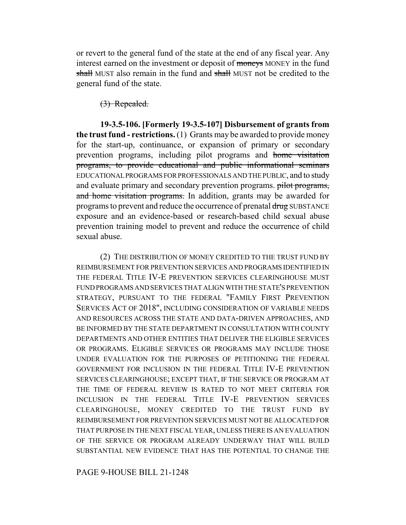or revert to the general fund of the state at the end of any fiscal year. Any interest earned on the investment or deposit of moneys MONEY in the fund shall MUST also remain in the fund and shall MUST not be credited to the general fund of the state.

(3) Repealed.

**19-3.5-106. [Formerly 19-3.5-107] Disbursement of grants from the trust fund - restrictions.** (1) Grants may be awarded to provide money for the start-up, continuance, or expansion of primary or secondary prevention programs, including pilot programs and home visitation programs, to provide educational and public informational seminars EDUCATIONAL PROGRAMS FOR PROFESSIONALS AND THE PUBLIC, and to study and evaluate primary and secondary prevention programs. pilot programs, and home visitation programs. In addition, grants may be awarded for programs to prevent and reduce the occurrence of prenatal drug SUBSTANCE exposure and an evidence-based or research-based child sexual abuse prevention training model to prevent and reduce the occurrence of child sexual abuse.

(2) THE DISTRIBUTION OF MONEY CREDITED TO THE TRUST FUND BY REIMBURSEMENT FOR PREVENTION SERVICES AND PROGRAMS IDENTIFIED IN THE FEDERAL TITLE IV-E PREVENTION SERVICES CLEARINGHOUSE MUST FUND PROGRAMS AND SERVICES THAT ALIGN WITH THE STATE'S PREVENTION STRATEGY, PURSUANT TO THE FEDERAL "FAMILY FIRST PREVENTION SERVICES ACT OF 2018", INCLUDING CONSIDERATION OF VARIABLE NEEDS AND RESOURCES ACROSS THE STATE AND DATA-DRIVEN APPROACHES, AND BE INFORMED BY THE STATE DEPARTMENT IN CONSULTATION WITH COUNTY DEPARTMENTS AND OTHER ENTITIES THAT DELIVER THE ELIGIBLE SERVICES OR PROGRAMS. ELIGIBLE SERVICES OR PROGRAMS MAY INCLUDE THOSE UNDER EVALUATION FOR THE PURPOSES OF PETITIONING THE FEDERAL GOVERNMENT FOR INCLUSION IN THE FEDERAL TITLE IV-E PREVENTION SERVICES CLEARINGHOUSE; EXCEPT THAT, IF THE SERVICE OR PROGRAM AT THE TIME OF FEDERAL REVIEW IS RATED TO NOT MEET CRITERIA FOR INCLUSION IN THE FEDERAL TITLE IV-E PREVENTION SERVICES CLEARINGHOUSE, MONEY CREDITED TO THE TRUST FUND BY REIMBURSEMENT FOR PREVENTION SERVICES MUST NOT BE ALLOCATED FOR THAT PURPOSE IN THE NEXT FISCAL YEAR, UNLESS THERE IS AN EVALUATION OF THE SERVICE OR PROGRAM ALREADY UNDERWAY THAT WILL BUILD SUBSTANTIAL NEW EVIDENCE THAT HAS THE POTENTIAL TO CHANGE THE

PAGE 9-HOUSE BILL 21-1248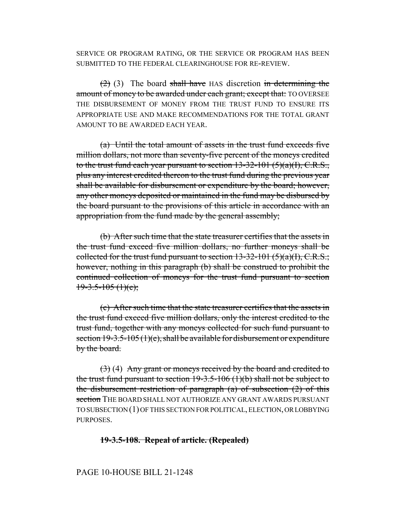SERVICE OR PROGRAM RATING, OR THE SERVICE OR PROGRAM HAS BEEN SUBMITTED TO THE FEDERAL CLEARINGHOUSE FOR RE-REVIEW.

 $(2)$  (3) The board shall have HAS discretion in determining the amount of money to be awarded under each grant; except that: TO OVERSEE THE DISBURSEMENT OF MONEY FROM THE TRUST FUND TO ENSURE ITS APPROPRIATE USE AND MAKE RECOMMENDATIONS FOR THE TOTAL GRANT AMOUNT TO BE AWARDED EACH YEAR.

(a) Until the total amount of assets in the trust fund exceeds five million dollars, not more than seventy-five percent of the moneys credited to the trust fund each year pursuant to section  $13-32-101$  (5)(a)(I), C.R.S., plus any interest credited thereon to the trust fund during the previous year shall be available for disbursement or expenditure by the board; however, any other moneys deposited or maintained in the fund may be disbursed by the board pursuant to the provisions of this article in accordance with an appropriation from the fund made by the general assembly;

(b) After such time that the state treasurer certifies that the assets in the trust fund exceed five million dollars, no further moneys shall be collected for the trust fund pursuant to section  $13-32-101$  (5)(a)(I), C.R.S.; however, nothing in this paragraph (b) shall be construed to prohibit the continued collection of moneys for the trust fund pursuant to section  $19-3.5-105$  (1)(e);

(c) After such time that the state treasurer certifies that the assets in the trust fund exceed five million dollars, only the interest credited to the trust fund, together with any moneys collected for such fund pursuant to section  $19-3.5-105(1)(e)$ , shall be available for disbursement or expenditure by the board.

 $(3)$  (4) Any grant or moneys received by the board and credited to the trust fund pursuant to section  $19-3.5-106$  (1)(b) shall not be subject to the disbursement restriction of paragraph  $(a)$  of subsection  $(2)$  of this section THE BOARD SHALL NOT AUTHORIZE ANY GRANT AWARDS PURSUANT TO SUBSECTION (1) OF THIS SECTION FOR POLITICAL, ELECTION, OR LOBBYING PURPOSES.

#### **19-3.5-108. Repeal of article. (Repealed)**

#### PAGE 10-HOUSE BILL 21-1248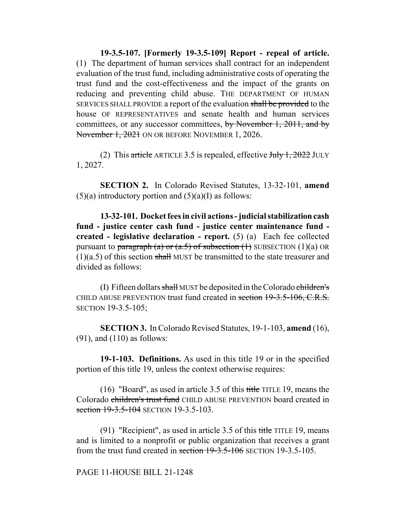**19-3.5-107. [Formerly 19-3.5-109] Report - repeal of article.** (1) The department of human services shall contract for an independent evaluation of the trust fund, including administrative costs of operating the trust fund and the cost-effectiveness and the impact of the grants on reducing and preventing child abuse. THE DEPARTMENT OF HUMAN SERVICES SHALL PROVIDE a report of the evaluation shall be provided to the house OF REPRESENTATIVES and senate health and human services committees, or any successor committees, by November 1, 2011, and by November 1, 2021 ON OR BEFORE NOVEMBER 1, 2026.

(2) This article ARTICLE 3.5 is repealed, effective  $J_{\text{t}}$   $1, 2022$  JULY 1, 2027.

**SECTION 2.** In Colorado Revised Statutes, 13-32-101, **amend**  $(5)(a)$  introductory portion and  $(5)(a)(I)$  as follows:

**13-32-101. Docket fees in civil actions - judicial stabilization cash fund - justice center cash fund - justice center maintenance fund created - legislative declaration - report.** (5) (a) Each fee collected pursuant to paragraph (a) or (a.5) of subsection  $(1)$  SUBSECTION  $(1)(a)$  OR  $(1)(a.5)$  of this section shall MUST be transmitted to the state treasurer and divided as follows:

(I) Fifteen dollars shall MUST be deposited in the Colorado children's CHILD ABUSE PREVENTION trust fund created in section 19-3.5-106, C.R.S. SECTION 19-3.5-105;

**SECTION 3.** In Colorado Revised Statutes, 19-1-103, **amend** (16), (91), and (110) as follows:

**19-1-103. Definitions.** As used in this title 19 or in the specified portion of this title 19, unless the context otherwise requires:

(16) "Board", as used in article 3.5 of this title TITLE 19, means the Colorado children's trust fund CHILD ABUSE PREVENTION board created in section 19-3.5-104 SECTION 19-3.5-103.

(91) "Recipient", as used in article 3.5 of this title TITLE 19, means and is limited to a nonprofit or public organization that receives a grant from the trust fund created in section 19-3.5-106 SECTION 19-3.5-105.

PAGE 11-HOUSE BILL 21-1248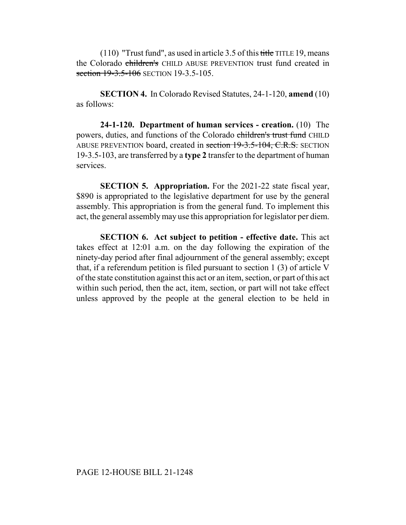$(110)$  "Trust fund", as used in article 3.5 of this title TITLE 19, means the Colorado children's CHILD ABUSE PREVENTION trust fund created in section 19-3.5-106 SECTION 19-3.5-105.

**SECTION 4.** In Colorado Revised Statutes, 24-1-120, **amend** (10) as follows:

**24-1-120. Department of human services - creation.** (10) The powers, duties, and functions of the Colorado children's trust fund CHILD ABUSE PREVENTION board, created in section 19-3.5-104, C.R.S. SECTION 19-3.5-103, are transferred by a **type 2** transfer to the department of human services.

**SECTION 5. Appropriation.** For the 2021-22 state fiscal year, \$890 is appropriated to the legislative department for use by the general assembly. This appropriation is from the general fund. To implement this act, the general assembly may use this appropriation for legislator per diem.

**SECTION 6. Act subject to petition - effective date.** This act takes effect at 12:01 a.m. on the day following the expiration of the ninety-day period after final adjournment of the general assembly; except that, if a referendum petition is filed pursuant to section 1 (3) of article V of the state constitution against this act or an item, section, or part of this act within such period, then the act, item, section, or part will not take effect unless approved by the people at the general election to be held in